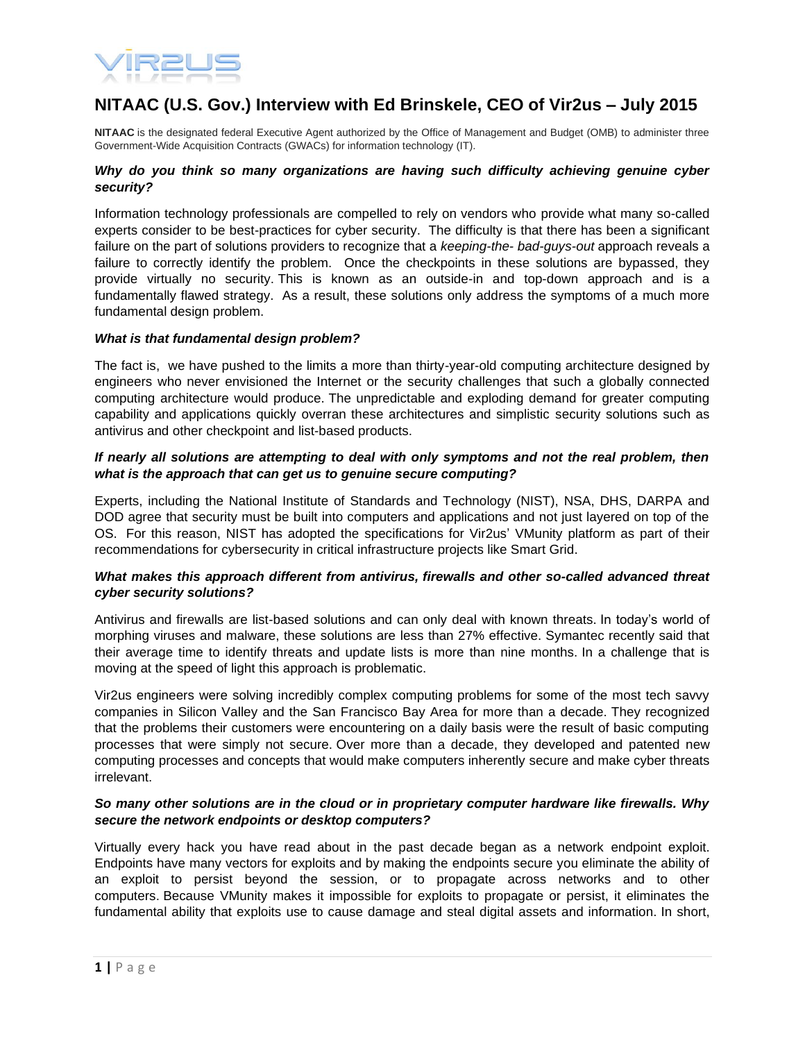

# **NITAAC (U.S. Gov.) Interview with Ed Brinskele, CEO of Vir2us – July 2015**

**NITAAC** is the designated federal Executive Agent authorized by the Office of Management and Budget (OMB) to administer three Government-Wide Acquisition Contracts (GWACs) for information technology (IT).

#### *Why do you think so many organizations are having such difficulty achieving genuine cyber security?*

Information technology professionals are compelled to rely on vendors who provide what many so-called experts consider to be best-practices for cyber security. The difficulty is that there has been a significant failure on the part of solutions providers to recognize that a *keeping-the- bad-guys-out* approach reveals a failure to correctly identify the problem. Once the checkpoints in these solutions are bypassed, they provide virtually no security. This is known as an outside-in and top-down approach and is a fundamentally flawed strategy. As a result, these solutions only address the symptoms of a much more fundamental design problem.

#### *What is that fundamental design problem?*

The fact is, we have pushed to the limits a more than thirty-year-old computing architecture designed by engineers who never envisioned the Internet or the security challenges that such a globally connected computing architecture would produce. The unpredictable and exploding demand for greater computing capability and applications quickly overran these architectures and simplistic security solutions such as antivirus and other checkpoint and list-based products.

#### *If nearly all solutions are attempting to deal with only symptoms and not the real problem, then what is the approach that can get us to genuine secure computing?*

Experts, including the National Institute of Standards and Technology (NIST), NSA, DHS, DARPA and DOD agree that security must be built into computers and applications and not just layered on top of the OS. For this reason, NIST has adopted the specifications for Vir2us' VMunity platform as part of their recommendations for cybersecurity in critical infrastructure projects like Smart Grid.

# *What makes this approach different from antivirus, firewalls and other so-called advanced threat cyber security solutions?*

Antivirus and firewalls are list-based solutions and can only deal with known threats. In today's world of morphing viruses and malware, these solutions are less than 27% effective. Symantec recently said that their average time to identify threats and update lists is more than nine months. In a challenge that is moving at the speed of light this approach is problematic.

Vir2us engineers were solving incredibly complex computing problems for some of the most tech savvy companies in Silicon Valley and the San Francisco Bay Area for more than a decade. They recognized that the problems their customers were encountering on a daily basis were the result of basic computing processes that were simply not secure. Over more than a decade, they developed and patented new computing processes and concepts that would make computers inherently secure and make cyber threats irrelevant.

#### *So many other solutions are in the cloud or in proprietary computer hardware like firewalls. Why secure the network endpoints or desktop computers?*

Virtually every hack you have read about in the past decade began as a network endpoint exploit. Endpoints have many vectors for exploits and by making the endpoints secure you eliminate the ability of an exploit to persist beyond the session, or to propagate across networks and to other computers. Because VMunity makes it impossible for exploits to propagate or persist, it eliminates the fundamental ability that exploits use to cause damage and steal digital assets and information. In short,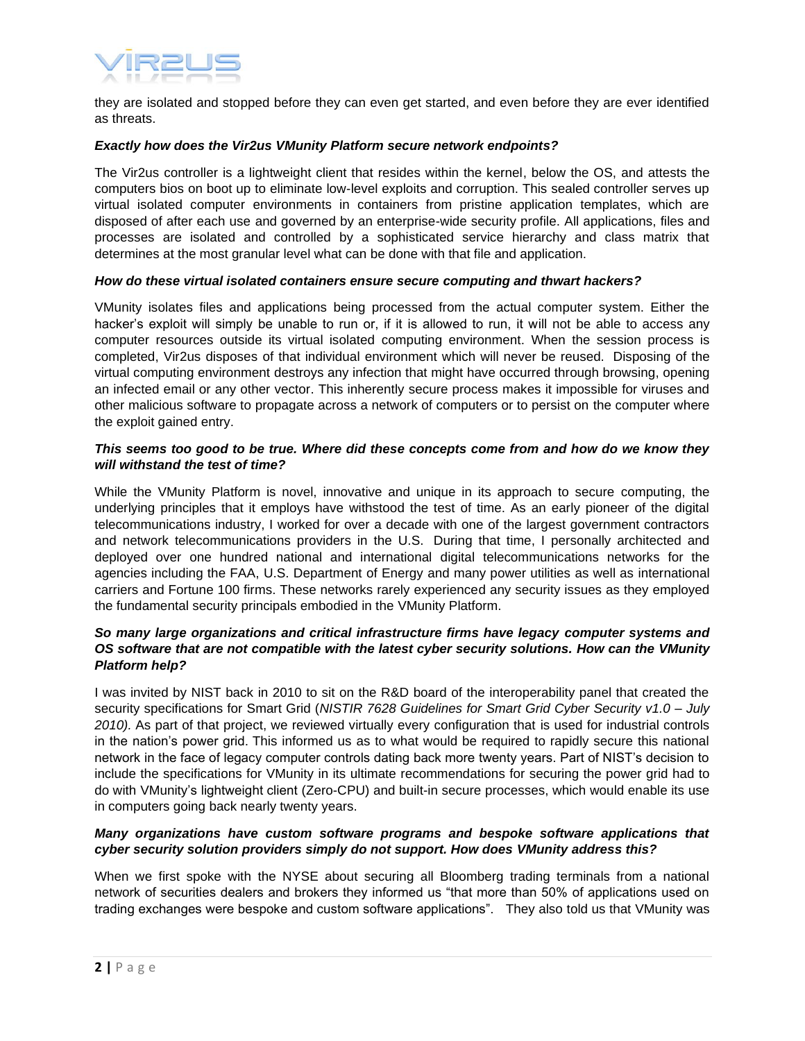

they are isolated and stopped before they can even get started, and even before they are ever identified as threats.

#### *Exactly how does the Vir2us VMunity Platform secure network endpoints?*

The Vir2us controller is a lightweight client that resides within the kernel, below the OS, and attests the computers bios on boot up to eliminate low-level exploits and corruption. This sealed controller serves up virtual isolated computer environments in containers from pristine application templates, which are disposed of after each use and governed by an enterprise-wide security profile. All applications, files and processes are isolated and controlled by a sophisticated service hierarchy and class matrix that determines at the most granular level what can be done with that file and application.

#### *How do these virtual isolated containers ensure secure computing and thwart hackers?*

VMunity isolates files and applications being processed from the actual computer system. Either the hacker's exploit will simply be unable to run or, if it is allowed to run, it will not be able to access any computer resources outside its virtual isolated computing environment. When the session process is completed, Vir2us disposes of that individual environment which will never be reused. Disposing of the virtual computing environment destroys any infection that might have occurred through browsing, opening an infected email or any other vector. This inherently secure process makes it impossible for viruses and other malicious software to propagate across a network of computers or to persist on the computer where the exploit gained entry.

#### *This seems too good to be true. Where did these concepts come from and how do we know they will withstand the test of time?*

While the VMunity Platform is novel, innovative and unique in its approach to secure computing, the underlying principles that it employs have withstood the test of time. As an early pioneer of the digital telecommunications industry, I worked for over a decade with one of the largest government contractors and network telecommunications providers in the U.S. During that time, I personally architected and deployed over one hundred national and international digital telecommunications networks for the agencies including the FAA, U.S. Department of Energy and many power utilities as well as international carriers and Fortune 100 firms. These networks rarely experienced any security issues as they employed the fundamental security principals embodied in the VMunity Platform.

# *So many large organizations and critical infrastructure firms have legacy computer systems and OS software that are not compatible with the latest cyber security solutions. How can the VMunity Platform help?*

I was invited by NIST back in 2010 to sit on the R&D board of the interoperability panel that created the security specifications for Smart Grid (*NISTIR 7628 Guidelines for Smart Grid Cyber Security v1.0 – July 2010).* As part of that project, we reviewed virtually every configuration that is used for industrial controls in the nation's power grid. This informed us as to what would be required to rapidly secure this national network in the face of legacy computer controls dating back more twenty years. Part of NIST's decision to include the specifications for VMunity in its ultimate recommendations for securing the power grid had to do with VMunity's lightweight client (Zero-CPU) and built-in secure processes, which would enable its use in computers going back nearly twenty years.

# *Many organizations have custom software programs and bespoke software applications that cyber security solution providers simply do not support. How does VMunity address this?*

When we first spoke with the NYSE about securing all Bloomberg trading terminals from a national network of securities dealers and brokers they informed us "that more than 50% of applications used on trading exchanges were bespoke and custom software applications". They also told us that VMunity was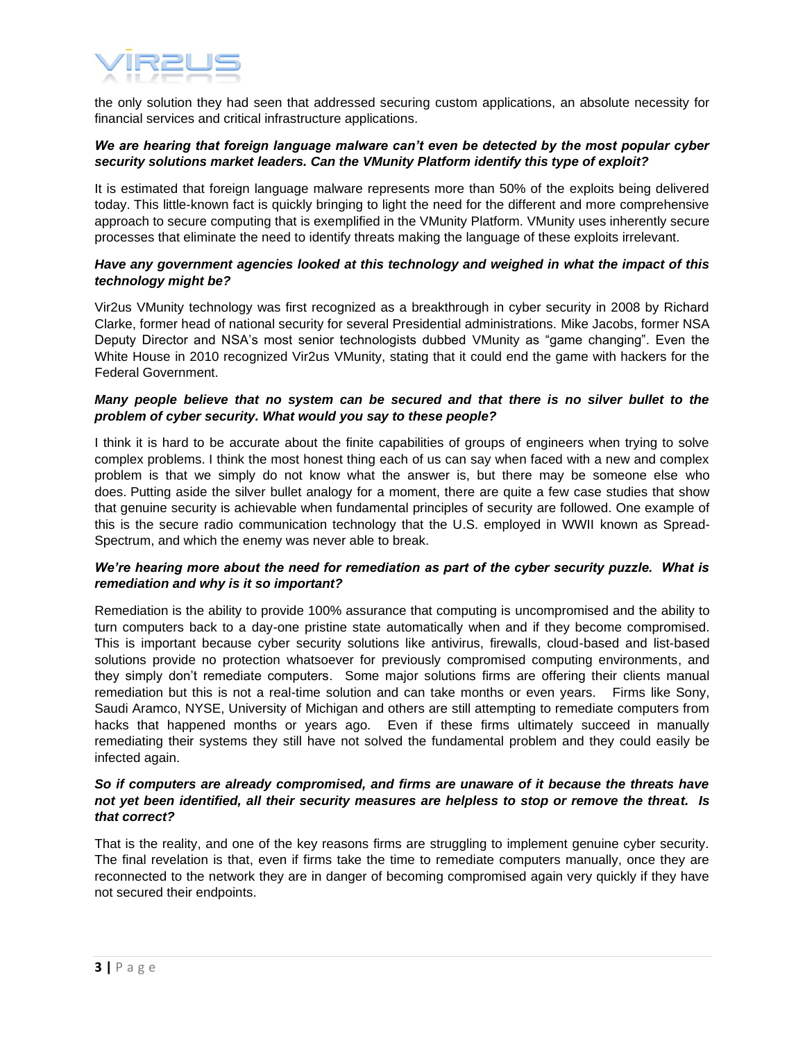

the only solution they had seen that addressed securing custom applications, an absolute necessity for financial services and critical infrastructure applications.

#### *We are hearing that foreign language malware can't even be detected by the most popular cyber security solutions market leaders. Can the VMunity Platform identify this type of exploit?*

It is estimated that foreign language malware represents more than 50% of the exploits being delivered today. This little-known fact is quickly bringing to light the need for the different and more comprehensive approach to secure computing that is exemplified in the VMunity Platform. VMunity uses inherently secure processes that eliminate the need to identify threats making the language of these exploits irrelevant.

## *Have any government agencies looked at this technology and weighed in what the impact of this technology might be?*

Vir2us VMunity technology was first recognized as a breakthrough in cyber security in 2008 by Richard Clarke, former head of national security for several Presidential administrations. Mike Jacobs, former NSA Deputy Director and NSA's most senior technologists dubbed VMunity as "game changing". Even the White House in 2010 recognized Vir2us VMunity, stating that it could end the game with hackers for the Federal Government.

## *Many people believe that no system can be secured and that there is no silver bullet to the problem of cyber security. What would you say to these people?*

I think it is hard to be accurate about the finite capabilities of groups of engineers when trying to solve complex problems. I think the most honest thing each of us can say when faced with a new and complex problem is that we simply do not know what the answer is, but there may be someone else who does. Putting aside the silver bullet analogy for a moment, there are quite a few case studies that show that genuine security is achievable when fundamental principles of security are followed. One example of this is the secure radio communication technology that the U.S. employed in WWII known as Spread-Spectrum, and which the enemy was never able to break.

# *We're hearing more about the need for remediation as part of the cyber security puzzle. What is remediation and why is it so important?*

Remediation is the ability to provide 100% assurance that computing is uncompromised and the ability to turn computers back to a day-one pristine state automatically when and if they become compromised. This is important because cyber security solutions like antivirus, firewalls, cloud-based and list-based solutions provide no protection whatsoever for previously compromised computing environments, and they simply don't remediate computers. Some major solutions firms are offering their clients manual remediation but this is not a real-time solution and can take months or even years. Firms like Sony, Saudi Aramco, NYSE, University of Michigan and others are still attempting to remediate computers from hacks that happened months or years ago. Even if these firms ultimately succeed in manually remediating their systems they still have not solved the fundamental problem and they could easily be infected again.

# *So if computers are already compromised, and firms are unaware of it because the threats have not yet been identified, all their security measures are helpless to stop or remove the threat. Is that correct?*

That is the reality, and one of the key reasons firms are struggling to implement genuine cyber security. The final revelation is that, even if firms take the time to remediate computers manually, once they are reconnected to the network they are in danger of becoming compromised again very quickly if they have not secured their endpoints.